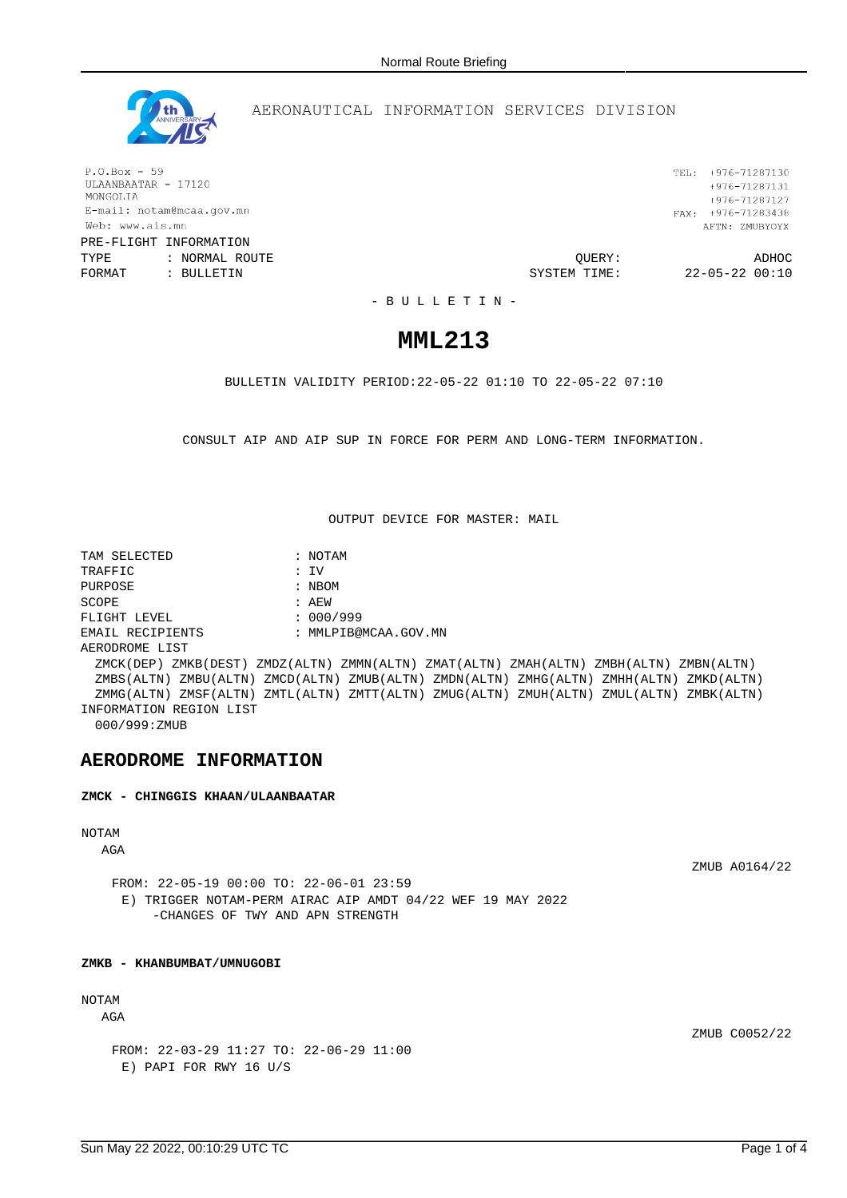

### AERONAUTICAL INFORMATION SERVICES DIVISION

 $P.O.Box - 59$ ULAANBAATAR - 17120 MONGOLIA E-mail: notam@mcaa.gov.mn Web: www.ais.mn PRE-FLIGHT INFORMATION

TYPE : NORMAL ROUTE QUERY: ADHOC FORMAT : BULLETIN **SYSTEM TIME:** 22-05-22 00:10

TEL: +976-71287130  $+976 - 71287131$ +976-71287127 FAX:  $+976-71283438$ AFTN: ZMUBYOYX

- B U L L E T I N -

# **MML213**

BULLETIN VALIDITY PERIOD:22-05-22 01:10 TO 22-05-22 07:10

CONSULT AIP AND AIP SUP IN FORCE FOR PERM AND LONG-TERM INFORMATION.

OUTPUT DEVICE FOR MASTER: MAIL

TAM SELECTED : NOTAM TRAFFIC : IV PURPOSE : NBOM SCOPE : AEW FLIGHT LEVEL : 000/999 EMAIL RECIPIENTS : MMLPIB@MCAA.GOV.MN AERODROME LIST ZMCK(DEP) ZMKB(DEST) ZMDZ(ALTN) ZMMN(ALTN) ZMAT(ALTN) ZMAH(ALTN) ZMBH(ALTN) ZMBN(ALTN) ZMBS(ALTN) ZMBU(ALTN) ZMCD(ALTN) ZMUB(ALTN) ZMDN(ALTN) ZMHG(ALTN) ZMHH(ALTN) ZMKD(ALTN) ZMMG(ALTN) ZMSF(ALTN) ZMTL(ALTN) ZMTT(ALTN) ZMUG(ALTN) ZMUH(ALTN) ZMUL(ALTN) ZMBK(ALTN) INFORMATION REGION LIST 000/999:ZMUB

### **AERODROME INFORMATION**

**ZMCK - CHINGGIS KHAAN/ULAANBAATAR**

## NOTAM

AGA

ZMUB A0164/22

FROM: 22-05-19 00:00 TO: 22-06-01 23:59 E) TRIGGER NOTAM-PERM AIRAC AIP AMDT 04/22 WEF 19 MAY 2022 -CHANGES OF TWY AND APN STRENGTH

### **ZMKB - KHANBUMBAT/UMNUGOBI**

## NOTAM

AGA

ZMUB C0052/22

FROM: 22-03-29 11:27 TO: 22-06-29 11:00 E) PAPI FOR RWY 16 U/S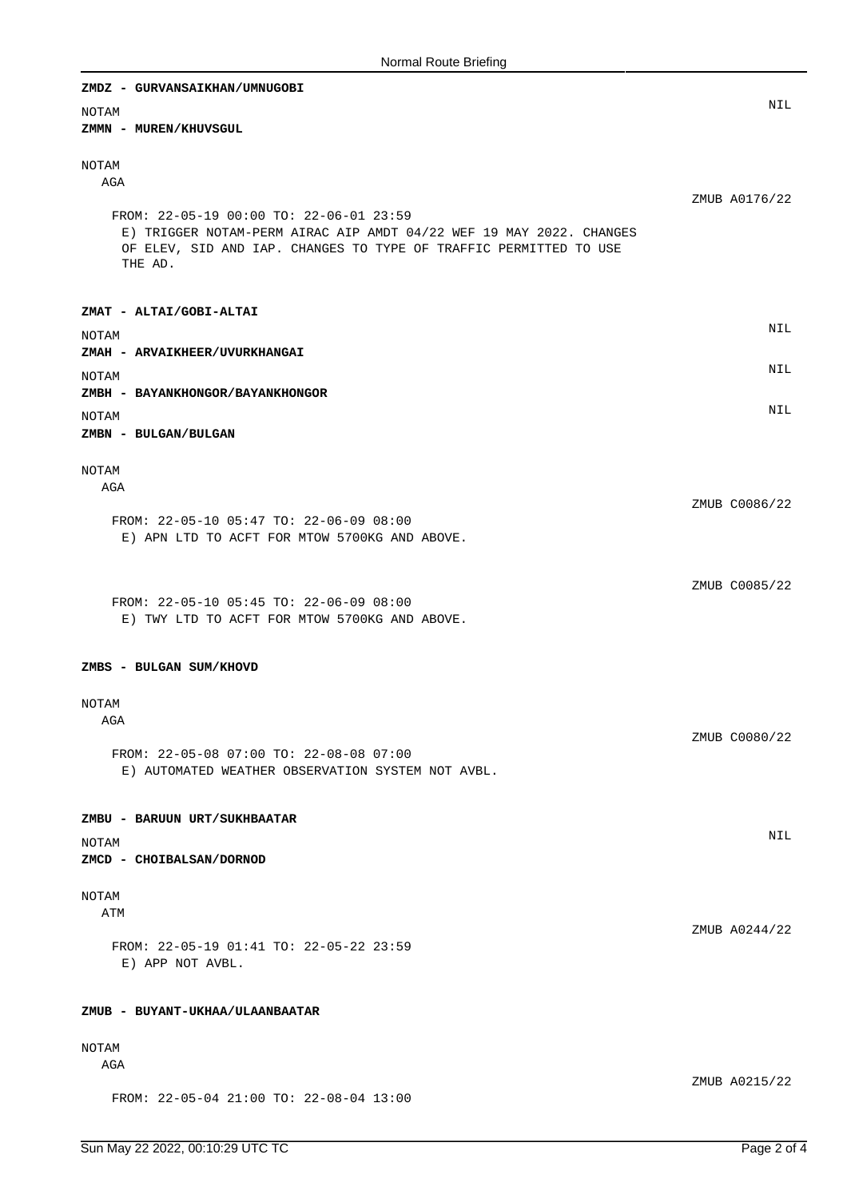| ZMDZ - GURVANSAIKHAN/UMNUGOBI                                                                                                                                                                  |               |
|------------------------------------------------------------------------------------------------------------------------------------------------------------------------------------------------|---------------|
| <b>NOTAM</b><br>ZMMN - MUREN/KHUVSGUL                                                                                                                                                          | NIL           |
| NOTAM<br>AGA                                                                                                                                                                                   |               |
| FROM: 22-05-19 00:00 TO: 22-06-01 23:59<br>E) TRIGGER NOTAM-PERM AIRAC AIP AMDT 04/22 WEF 19 MAY 2022. CHANGES<br>OF ELEV, SID AND IAP. CHANGES TO TYPE OF TRAFFIC PERMITTED TO USE<br>THE AD. | ZMUB A0176/22 |
| ZMAT - ALTAI/GOBI-ALTAI                                                                                                                                                                        |               |
| <b>NOTAM</b><br>ZMAH - ARVAIKHEER/UVURKHANGAI                                                                                                                                                  | NIL           |
| NOTAM<br>ZMBH - BAYANKHONGOR/BAYANKHONGOR                                                                                                                                                      | NIL           |
| <b>NOTAM</b><br>ZMBN - BULGAN/BULGAN                                                                                                                                                           | NIL           |
| <b>NOTAM</b>                                                                                                                                                                                   |               |
| AGA<br>FROM: 22-05-10 05:47 TO: 22-06-09 08:00<br>E) APN LTD TO ACFT FOR MTOW 5700KG AND ABOVE.                                                                                                | ZMUB C0086/22 |
| FROM: 22-05-10 05:45 TO: 22-06-09 08:00<br>E) TWY LTD TO ACFT FOR MTOW 5700KG AND ABOVE.                                                                                                       | ZMUB C0085/22 |
| ZMBS - BULGAN SUM/KHOVD                                                                                                                                                                        |               |
| NOTAM<br>AGA                                                                                                                                                                                   | ZMUB C0080/22 |
| FROM: 22-05-08 07:00 TO: 22-08-08 07:00<br>E) AUTOMATED WEATHER OBSERVATION SYSTEM NOT AVBL.                                                                                                   |               |
| ZMBU - BARUUN URT/SUKHBAATAR<br><b>NOTAM</b><br>ZMCD - CHOIBALSAN/DORNOD                                                                                                                       | <b>NIL</b>    |
| <b>NOTAM</b>                                                                                                                                                                                   |               |
| ATM                                                                                                                                                                                            | ZMUB A0244/22 |
| FROM: 22-05-19 01:41 TO: 22-05-22 23:59<br>E) APP NOT AVBL.                                                                                                                                    |               |
| ZMUB - BUYANT-UKHAA/ULAANBAATAR                                                                                                                                                                |               |
| NOTAM<br>AGA                                                                                                                                                                                   |               |
| FROM: 22-05-04 21:00 TO: 22-08-04 13:00                                                                                                                                                        | ZMUB A0215/22 |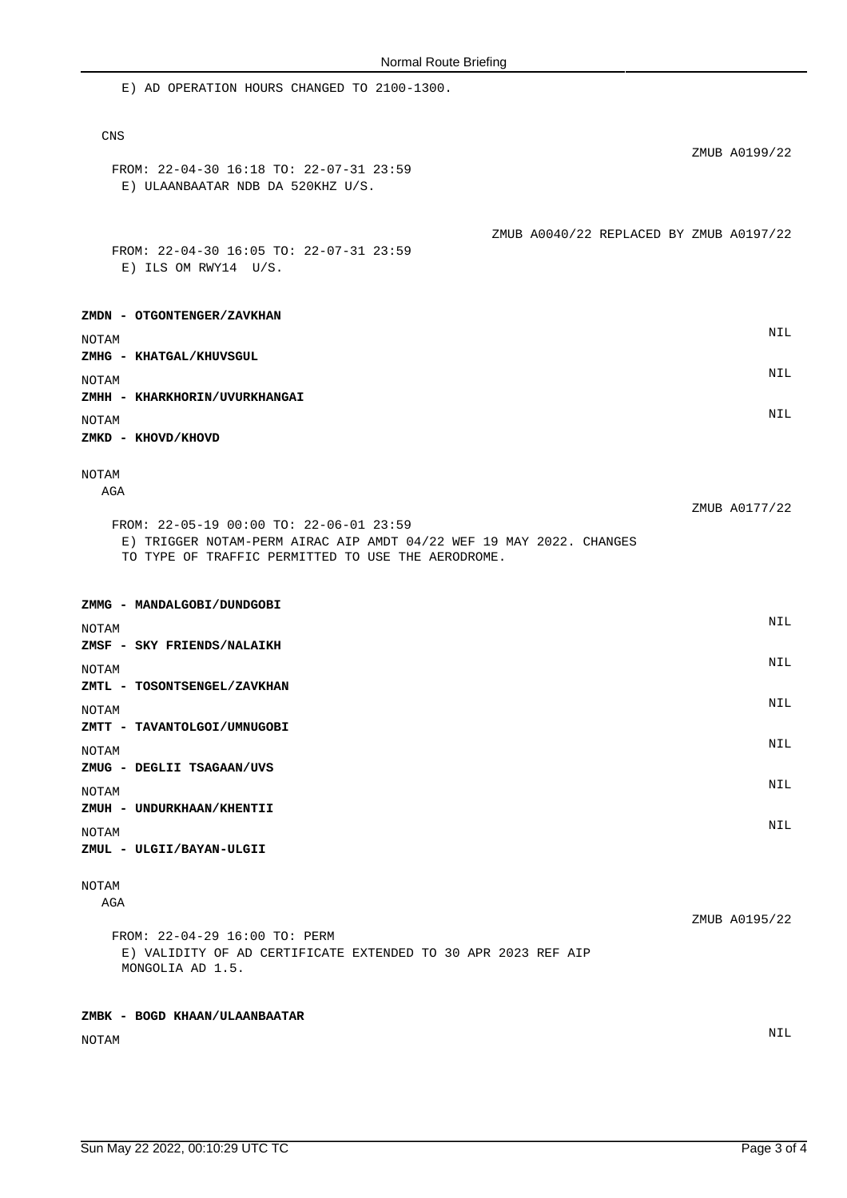| E) AD OPERATION HOURS CHANGED TO 2100-1300.                                                                                                                          |               |
|----------------------------------------------------------------------------------------------------------------------------------------------------------------------|---------------|
| <b>CNS</b>                                                                                                                                                           | ZMUB A0199/22 |
| FROM: 22-04-30 16:18 TO: 22-07-31 23:59<br>E) ULAANBAATAR NDB DA 520KHZ U/S.                                                                                         |               |
| ZMUB A0040/22 REPLACED BY ZMUB A0197/22<br>FROM: 22-04-30 16:05 TO: 22-07-31 23:59<br>E) ILS OM RWY14 U/S.                                                           |               |
| <b>ZMDN - OTGONTENGER/ZAVKHAN</b>                                                                                                                                    |               |
| NOTAM<br>ZMHG - KHATGAL/KHUVSGUL                                                                                                                                     | NIL           |
| NOTAM<br>ZMHH - KHARKHORIN/UVURKHANGAI                                                                                                                               | NIL           |
| NOTAM<br>ZMKD - KHOVD/KHOVD                                                                                                                                          | NIL           |
| NOTAM<br>AGA                                                                                                                                                         | ZMUB A0177/22 |
| FROM: 22-05-19 00:00 TO: 22-06-01 23:59<br>E) TRIGGER NOTAM-PERM AIRAC AIP AMDT 04/22 WEF 19 MAY 2022. CHANGES<br>TO TYPE OF TRAFFIC PERMITTED TO USE THE AERODROME. |               |
| ZMMG - MANDALGOBI/DUNDGOBI                                                                                                                                           | NIL           |
| NOTAM<br>ZMSF – SKY FRIENDS/NALAIKH                                                                                                                                  |               |
| NOTAM<br>ZMTL - TOSONTSENGEL/ZAVKHAN                                                                                                                                 | NIL           |
| NOTAM<br>ZMTT - TAVANTOLGOI/UMNUGOBI                                                                                                                                 | NIL           |
| NOTAM                                                                                                                                                                | NIL           |
| ZMUG - DEGLII TSAGAAN/UVS<br>NOTAM                                                                                                                                   | NIL           |
| ZMUH - UNDURKHAAN/KHENTII<br>NOTAM<br>ZMUL - ULGII/BAYAN-ULGII                                                                                                       | NIL           |
| NOTAM<br>AGA                                                                                                                                                         |               |
| FROM: 22-04-29 16:00 TO: PERM<br>E) VALIDITY OF AD CERTIFICATE EXTENDED TO 30 APR 2023 REF AIP<br>MONGOLIA AD 1.5.                                                   | ZMUB A0195/22 |
| ZMBK - BOGD KHAAN/ULAANBAATAR                                                                                                                                        |               |
| NOTAM                                                                                                                                                                | NIL           |